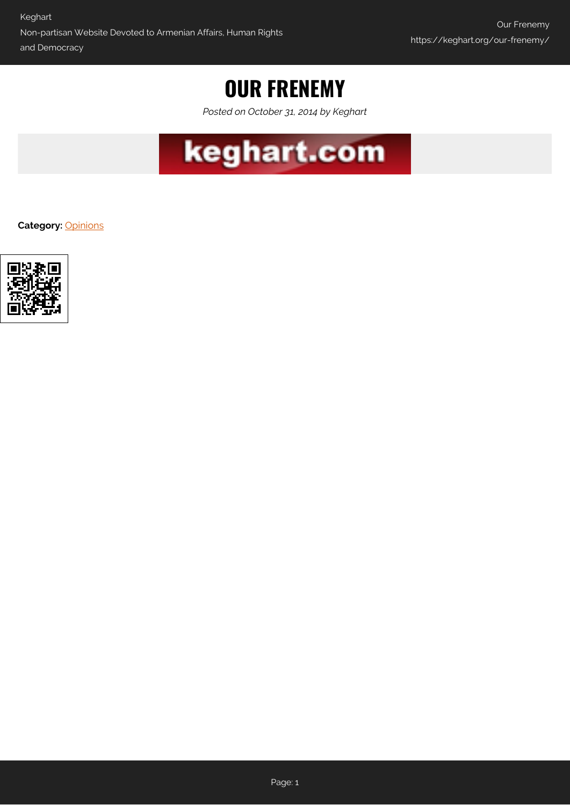## **OUR FRENEMY**

*Posted on October 31, 2014 by Keghart*



**Category:** [Opinions](https://keghart.org/category/opinions/)

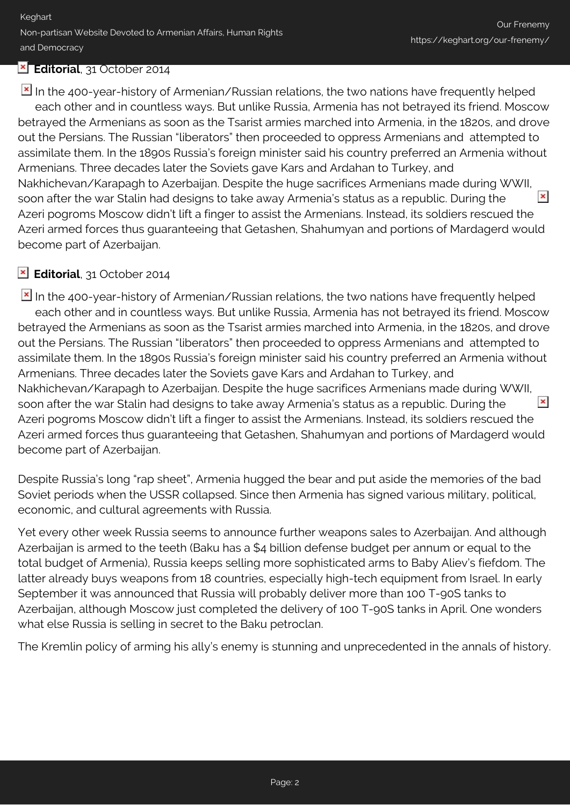## **Editorial**, 31 October 2014

In the 400-year-history of Armenian/Russian relations, the two nations have frequently helped each other and in countless ways. But unlike Russia, Armenia has not betrayed its friend. Moscow betrayed the Armenians as soon as the Tsarist armies marched into Armenia, in the 1820s, and drove out the Persians. The Russian "liberators" then proceeded to oppress Armenians and attempted to assimilate them. In the 1890s Russia's foreign minister said his country preferred an Armenia without Armenians. Three decades later the Soviets gave Kars and Ardahan to Turkey, and Nakhichevan/Karapagh to Azerbaijan. Despite the huge sacrifices Armenians made during WWII,  $\pmb{\times}$ soon after the war Stalin had designs to take away Armenia's status as a republic. During the Azeri pogroms Moscow didn't lift a finger to assist the Armenians. Instead, its soldiers rescued the Azeri armed forces thus guaranteeing that Getashen, Shahumyan and portions of Mardagerd would become part of Azerbaijan.

## **Editorial**, 31 October 2014

In the 400-year-history of Armenian/Russian relations, the two nations have frequently helped each other and in countless ways. But unlike Russia, Armenia has not betrayed its friend. Moscow betrayed the Armenians as soon as the Tsarist armies marched into Armenia, in the 1820s, and drove out the Persians. The Russian "liberators" then proceeded to oppress Armenians and attempted to assimilate them. In the 1890s Russia's foreign minister said his country preferred an Armenia without Armenians. Three decades later the Soviets gave Kars and Ardahan to Turkey, and Nakhichevan/Karapagh to Azerbaijan. Despite the huge sacrifices Armenians made during WWII,  $\pmb{\times}$ soon after the war Stalin had designs to take away Armenia's status as a republic. During the Azeri pogroms Moscow didn't lift a finger to assist the Armenians. Instead, its soldiers rescued the Azeri armed forces thus guaranteeing that Getashen, Shahumyan and portions of Mardagerd would become part of Azerbaijan.

Despite Russia's long "rap sheet", Armenia hugged the bear and put aside the memories of the bad Soviet periods when the USSR collapsed. Since then Armenia has signed various military, political, economic, and cultural agreements with Russia.

Yet every other week Russia seems to announce further weapons sales to Azerbaijan. And although Azerbaijan is armed to the teeth (Baku has a \$4 billion defense budget per annum or equal to the total budget of Armenia), Russia keeps selling more sophisticated arms to Baby Aliev's fiefdom. The latter already buys weapons from 18 countries, especially high-tech equipment from Israel. In early September it was announced that Russia will probably deliver more than 100 T-90S tanks to Azerbaijan, although Moscow just completed the delivery of 100 T-90S tanks in April. One wonders what else Russia is selling in secret to the Baku petroclan.

The Kremlin policy of arming his ally's enemy is stunning and unprecedented in the annals of history.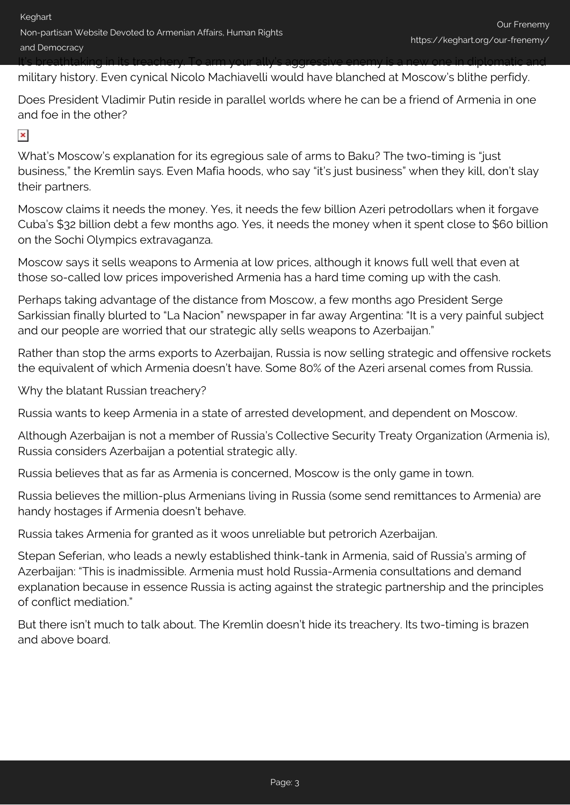military history. Even cynical Nicolo Machiavelli would have blanched at Moscow's blithe perfidy.

Does President Vladimir Putin reside in parallel worlds where he can be a friend of Armenia in one and foe in the other?

## $\pmb{\times}$

What's Moscow's explanation for its egregious sale of arms to Baku? The two-timing is "just business," the Kremlin says. Even Mafia hoods, who say "it's just business" when they kill, don't slay their partners.

Moscow claims it needs the money. Yes, it needs the few billion Azeri petrodollars when it forgave Cuba's \$32 billion debt a few months ago. Yes, it needs the money when it spent close to \$60 billion on the Sochi Olympics extravaganza.

Moscow says it sells weapons to Armenia at low prices, although it knows full well that even at those so-called low prices impoverished Armenia has a hard time coming up with the cash.

Perhaps taking advantage of the distance from Moscow, a few months ago President Serge Sarkissian finally blurted to "La Nacion" newspaper in far away Argentina: "It is a very painful subject and our people are worried that our strategic ally sells weapons to Azerbaijan."

Rather than stop the arms exports to Azerbaijan, Russia is now selling strategic and offensive rockets the equivalent of which Armenia doesn't have. Some 80% of the Azeri arsenal comes from Russia.

Why the blatant Russian treachery?

Russia wants to keep Armenia in a state of arrested development, and dependent on Moscow.

Although Azerbaijan is not a member of Russia's Collective Security Treaty Organization (Armenia is), Russia considers Azerbaijan a potential strategic ally.

Russia believes that as far as Armenia is concerned, Moscow is the only game in town.

Russia believes the million-plus Armenians living in Russia (some send remittances to Armenia) are handy hostages if Armenia doesn't behave.

Russia takes Armenia for granted as it woos unreliable but petrorich Azerbaijan.

Stepan Seferian, who leads a newly established think-tank in Armenia, said of Russia's arming of Azerbaijan: "This is inadmissible. Armenia must hold Russia-Armenia consultations and demand explanation because in essence Russia is acting against the strategic partnership and the principles of conflict mediation."

But there isn't much to talk about. The Kremlin doesn't hide its treachery. Its two-timing is brazen and above board.